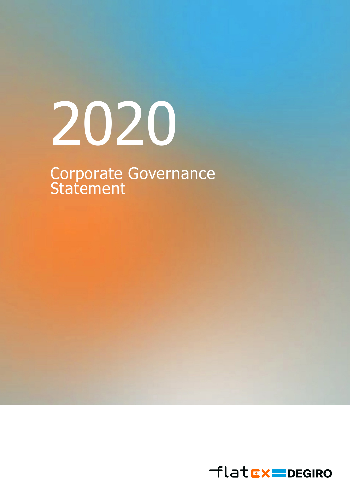# 2020

Corporate Governance **Statement** 

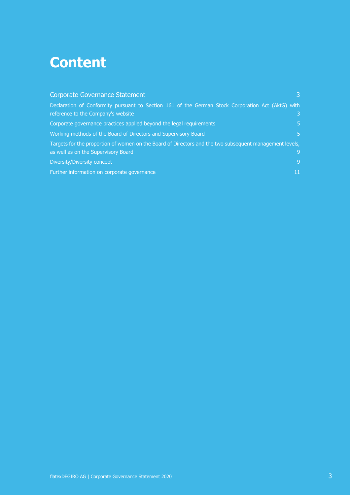# **Content**

| <b>Corporate Governance Statement</b>                                                                                                   |              |
|-----------------------------------------------------------------------------------------------------------------------------------------|--------------|
| Declaration of Conformity pursuant to Section 161 of the German Stock Corporation Act (AktG) with<br>reference to the Company's website | $\mathbf{3}$ |
| Corporate governance practices applied beyond the legal requirements                                                                    | 5.           |
| Working methods of the Board of Directors and Supervisory Board                                                                         | 5.           |
| Targets for the proportion of women on the Board of Directors and the two subsequent management levels,                                 |              |
| as well as on the Supervisory Board                                                                                                     | 9            |
| Diversity/Diversity concept                                                                                                             | 9            |
| Further information on corporate governance                                                                                             | 11           |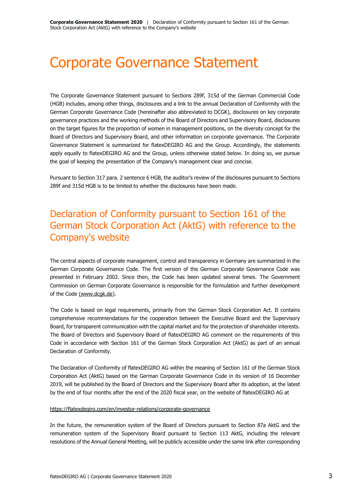# <span id="page-2-0"></span>Corporate Governance Statement

The Corporate Governance Statement pursuant to Sections 289f, 315d of the German Commercial Code (HGB) includes, among other things, disclosures and a link to the annual Declaration of Conformity with the German Corporate Governance Code (hereinafter also abbreviated to DCGK), disclosures on key corporate governance practices and the working methods of the Board of Directors and Supervisory Board, disclosures on the target figures for the proportion of women in management positions, on the diversity concept for the Board of Directors and Supervisory Board, and other information on corporate governance. The Corporate Governance Statement is summarized for flatexDEGIRO AG and the Group. Accordingly, the statements apply equally to flatexDEGIRO AG and the Group, unless otherwise stated below. In doing so, we pursue the goal of keeping the presentation of the Company's management clear and concise.

Pursuant to Section 317 para. 2 sentence 6 HGB, the auditor's review of the disclosures pursuant to Sections 289f and 315d HGB is to be limited to whether the disclosures have been made.

# <span id="page-2-1"></span>Declaration of Conformity pursuant to Section 161 of the German Stock Corporation Act (AktG) with reference to the Company's website

The central aspects of corporate management, control and transparency in Germany are summarized in the German Corporate Governance Code. The first version of the German Corporate Governance Code was presented in February 2002. Since then, the Code has been updated several times. The Government Commission on German Corporate Governance is responsible for the formulation and further development of the Code [\(www.dcgk.de\)](http://(www.dcgk.de/).

The Code is based on legal requirements, primarily from the German Stock Corporation Act. It contains comprehensive recommendations for the cooperation between the Executive Board and the Supervisory Board, for transparent communication with the capital market and for the protection of shareholder interests. The Board of Directors and Supervisory Board of flatexDEGIRO AG comment on the requirements of this Code in accordance with Section 161 of the German Stock Corporation Act (AktG) as part of an annual Declaration of Conformity.

The Declaration of Conformity of flatexDEGIRO AG within the meaning of Section 161 of the German Stock Corporation Act (AktG) based on the German Corporate Governance Code in its version of 16 December 2019, will be published by the Board of Directors and the Supervisory Board after its adoption, at the latest by the end of four months after the end of the 2020 fiscal year, on the website of flatexDEGIRO AG at

### <https://flatexdegiro.com/en/investor-relations/corporate-governance>

In the future, the remuneration system of the Board of Directors pursuant to Section 87a AktG and the remuneration system of the Supervisory Board pursuant to Section 113 AktG, including the relevant resolutions of the Annual General Meeting, will be publicly accessible under the same link after corresponding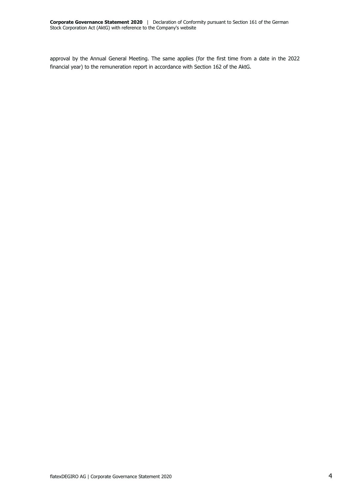approval by the Annual General Meeting. The same applies (for the first time from a date in the 2022 financial year) to the remuneration report in accordance with Section 162 of the AktG.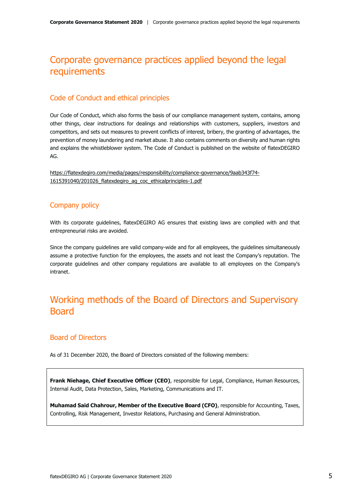# <span id="page-4-0"></span>Corporate governance practices applied beyond the legal requirements

### Code of Conduct and ethical principles

Our Code of Conduct, which also forms the basis of our compliance management system, contains, among other things, clear instructions for dealings and relationships with customers, suppliers, investors and competitors, and sets out measures to prevent conflicts of interest, bribery, the granting of advantages, the prevention of money laundering and market abuse. It also contains comments on diversity and human rights and explains the whistleblower system. The Code of Conduct is published on the website of flatexDEGIRO AG.

[https://flatexdegiro.com/media/pages/responsibility/compliance-governance/9aab343f74-](https://flatexdegiro.com/media/pages/responsibility/compliance-governance/9aab343f74-1615391040/201026_flatexdegiro_ag_coc_ethicalprinciples-1.pdf) [1615391040/201026\\_flatexdegiro\\_ag\\_coc\\_ethicalprinciples-1.pdf](https://flatexdegiro.com/media/pages/responsibility/compliance-governance/9aab343f74-1615391040/201026_flatexdegiro_ag_coc_ethicalprinciples-1.pdf)

### Company policy

With its corporate guidelines, flatexDEGIRO AG ensures that existing laws are complied with and that entrepreneurial risks are avoided.

Since the company guidelines are valid company-wide and for all employees, the guidelines simultaneously assume a protective function for the employees, the assets and not least the Company's reputation. The corporate guidelines and other company regulations are available to all employees on the Company's intranet.

# <span id="page-4-1"></span>Working methods of the Board of Directors and Supervisory Board

### Board of Directors

As of 31 December 2020, the Board of Directors consisted of the following members:

**Frank Niehage, Chief Executive Officer (CEO)**, responsible for Legal, Compliance, Human Resources, Internal Audit, Data Protection, Sales, Marketing, Communications and IT.

**Muhamad Said Chahrour, Member of the Executive Board (CFO)**, responsible for Accounting, Taxes, Controlling, Risk Management, Investor Relations, Purchasing and General Administration.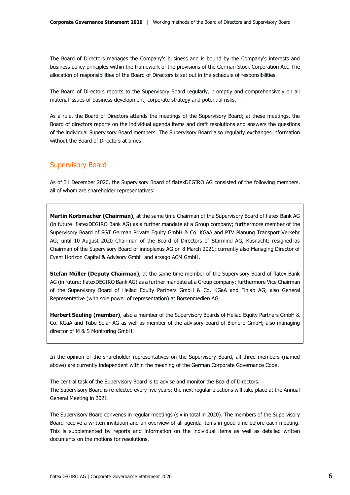The Board of Directors manages the Company's business and is bound by the Company's interests and business policy principles within the framework of the provisions of the German Stock Corporation Act. The allocation of responsibilities of the Board of Directors is set out in the schedule of responsibilities.

The Board of Directors reports to the Supervisory Board regularly, promptly and comprehensively on all material issues of business development, corporate strategy and potential risks.

As a rule, the Board of Directors attends the meetings of the Supervisory Board; at these meetings, the Board of directors reports on the individual agenda items and draft resolutions and answers the questions of the individual Supervisory Board members. The Supervisory Board also regularly exchanges information without the Board of Directors at times.

### Supervisory Board

As of 31 December 2020, the Supervisory Board of flatexDEGIRO AG consisted of the following members, all of whom are shareholder representatives:

**Martin Korbmacher (Chairman)**, at the same time Chairman of the Supervisory Board of flatex Bank AG (in future: flatexDEGIRO Bank AG) as a further mandate at a Group company; furthermore member of the Supervisory Board of SGT German Private Equity GmbH & Co. KGaA and PTV Planung Transport Verkehr AG; until 10 August 2020 Chairman of the Board of Directors of Starmind AG, Küsnacht; resigned as Chairman of the Supervisory Board of innoplexus AG on 8 March 2021; currently also Managing Director of Event Horizon Capital & Advisory GmbH and arsago ACM GmbH.

**Stefan Müller (Deputy Chairman)**, at the same time member of the Supervisory Board of flatex Bank AG (in future: flatexDEGIRO Bank AG) as a further mandate at a Group company; furthermore Vice Chairman of the Supervisory Board of Heliad Equity Partners GmbH & Co. KGaA and Finlab AG; also General Representative (with sole power of representation) at Börsenmedien AG.

**Herbert Seuling (member)**, also a member of the Supervisory Boards of Heliad Equity Partners GmbH & Co. KGaA and Tube Solar AG as well as member of the advisory board of Bionero GmbH; also managing director of M & S Monitoring GmbH.

In the opinion of the shareholder representatives on the Supervisory Board, all three members (named above) are currently independent within the meaning of the German Corporate Governance Code.

The central task of the Supervisory Board is to advise and monitor the Board of Directors. The Supervisory Board is re-elected every five years; the next regular elections will take place at the Annual General Meeting in 2021.

The Supervisory Board convenes in regular meetings (six in total in 2020). The members of the Supervisory Board receive a written invitation and an overview of all agenda items in good time before each meeting. This is supplemented by reports and information on the individual items as well as detailed written documents on the motions for resolutions.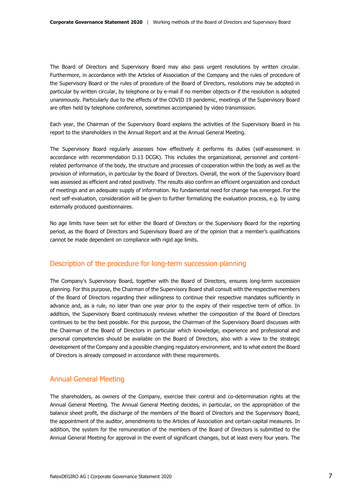The Board of Directors and Supervisory Board may also pass urgent resolutions by written circular. Furthermore, in accordance with the Articles of Association of the Company and the rules of procedure of the Supervisory Board or the rules of procedure of the Board of Directors, resolutions may be adopted in particular by written circular, by telephone or by e-mail if no member objects or if the resolution is adopted unanimously. Particularly due to the effects of the COVID 19 pandemic, meetings of the Supervisory Board are often held by telephone conference, sometimes accompanied by video transmission.

Each year, the Chairman of the Supervisory Board explains the activities of the Supervisory Board in his report to the shareholders in the Annual Report and at the Annual General Meeting.

The Supervisory Board regularly assesses how effectively it performs its duties (self-assessment in accordance with recommendation D.13 DCGK). This includes the organizational, personnel and contentrelated performance of the body, the structure and processes of cooperation within the body as well as the provision of information, in particular by the Board of Directors. Overall, the work of the Supervisory Board was assessed as efficient and rated positively. The results also confirm an efficient organization and conduct of meetings and an adequate supply of information. No fundamental need for change has emerged. For the next self-evaluation, consideration will be given to further formalizing the evaluation process, e.g. by using externally produced questionnaires.

No age limits have been set for either the Board of Directors or the Supervisory Board for the reporting period, as the Board of Directors and Supervisory Board are of the opinion that a member's qualifications cannot be made dependent on compliance with rigid age limits.

### Description of the procedure for long-term succession planning

The Company's Supervisory Board, together with the Board of Directors, ensures long-term succession planning. For this purpose, the Chairman of the Supervisory Board shall consult with the respective members of the Board of Directors regarding their willingness to continue their respective mandates sufficiently in advance and, as a rule, no later than one year prior to the expiry of their respective term of office. In addition, the Supervisory Board continuously reviews whether the composition of the Board of Directors continues to be the best possible. For this purpose, the Chairman of the Supervisory Board discusses with the Chairman of the Board of Directors in particular which knowledge, experience and professional and personal competencies should be available on the Board of Directors, also with a view to the strategic development of the Company and a possible changing regulatory environment, and to what extent the Board of Directors is already composed in accordance with these requirements.

### Annual General Meeting

The shareholders, as owners of the Company, exercise their control and co-determination rights at the Annual General Meeting. The Annual General Meeting decides, in particular, on the appropriation of the balance sheet profit, the discharge of the members of the Board of Directors and the Supervisory Board, the appointment of the auditor, amendments to the Articles of Association and certain capital measures. In addition, the system for the remuneration of the members of the Board of Directors is submitted to the Annual General Meeting for approval in the event of significant changes, but at least every four years. The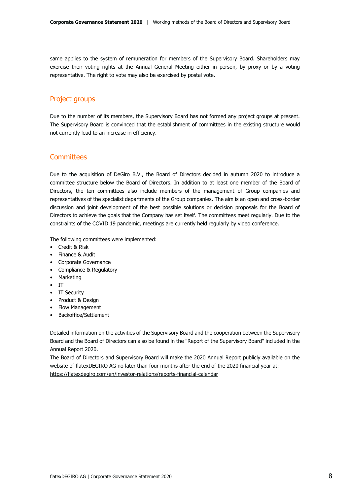same applies to the system of remuneration for members of the Supervisory Board. Shareholders may exercise their voting rights at the Annual General Meeting either in person, by proxy or by a voting representative. The right to vote may also be exercised by postal vote.

### Project groups

Due to the number of its members, the Supervisory Board has not formed any project groups at present. The Supervisory Board is convinced that the establishment of committees in the existing structure would not currently lead to an increase in efficiency.

### **Committees**

Due to the acquisition of DeGiro B.V., the Board of Directors decided in autumn 2020 to introduce a committee structure below the Board of Directors. In addition to at least one member of the Board of Directors, the ten committees also include members of the management of Group companies and representatives of the specialist departments of the Group companies. The aim is an open and cross-border discussion and joint development of the best possible solutions or decision proposals for the Board of Directors to achieve the goals that the Company has set itself. The committees meet regularly. Due to the constraints of the COVID 19 pandemic, meetings are currently held regularly by video conference.

The following committees were implemented:

- Credit & Risk
- Finance & Audit
- Corporate Governance
- Compliance & Regulatory
- Marketing
- IT
- IT Security
- Product & Design
- Flow Management
- Backoffice/Settlement

Detailed information on the activities of the Supervisory Board and the cooperation between the Supervisory Board and the Board of Directors can also be found in the "Report of the Supervisory Board" included in the Annual Report 2020.

The Board of Directors and Supervisory Board will make the 2020 Annual Report publicly available on the website of flatexDEGIRO AG no later than four months after the end of the 2020 financial year at: <https://flatexdegiro.com/en/investor-relations/reports-financial-calendar>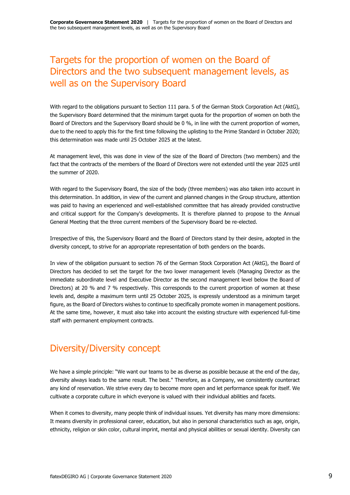# <span id="page-8-0"></span>Targets for the proportion of women on the Board of Directors and the two subsequent management levels, as well as on the Supervisory Board

With regard to the obligations pursuant to Section 111 para. 5 of the German Stock Corporation Act (AktG), the Supervisory Board determined that the minimum target quota for the proportion of women on both the Board of Directors and the Supervisory Board should be 0 %, in line with the current proportion of women, due to the need to apply this for the first time following the uplisting to the Prime Standard in October 2020; this determination was made until 25 October 2025 at the latest.

At management level, this was done in view of the size of the Board of Directors (two members) and the fact that the contracts of the members of the Board of Directors were not extended until the year 2025 until the summer of 2020.

With regard to the Supervisory Board, the size of the body (three members) was also taken into account in this determination. In addition, in view of the current and planned changes in the Group structure, attention was paid to having an experienced and well-established committee that has already provided constructive and critical support for the Company's developments. It is therefore planned to propose to the Annual General Meeting that the three current members of the Supervisory Board be re-elected.

Irrespective of this, the Supervisory Board and the Board of Directors stand by their desire, adopted in the diversity concept, to strive for an appropriate representation of both genders on the boards.

In view of the obligation pursuant to section 76 of the German Stock Corporation Act (AktG), the Board of Directors has decided to set the target for the two lower management levels (Managing Director as the immediate subordinate level and Executive Director as the second management level below the Board of Directors) at 20 % and 7 % respectively. This corresponds to the current proportion of women at these levels and, despite a maximum term until 25 October 2025, is expressly understood as a minimum target figure, as the Board of Directors wishes to continue to specifically promote women in management positions. At the same time, however, it must also take into account the existing structure with experienced full-time staff with permanent employment contracts.

# <span id="page-8-1"></span>Diversity/Diversity concept

We have a simple principle: "We want our teams to be as diverse as possible because at the end of the day, diversity always leads to the same result. The best." Therefore, as a Company, we consistently counteract any kind of reservation. We strive every day to become more open and let performance speak for itself. We cultivate a corporate culture in which everyone is valued with their individual abilities and facets.

When it comes to diversity, many people think of individual issues. Yet diversity has many more dimensions: It means diversity in professional career, education, but also in personal characteristics such as age, origin, ethnicity, religion or skin color, cultural imprint, mental and physical abilities or sexual identity. Diversity can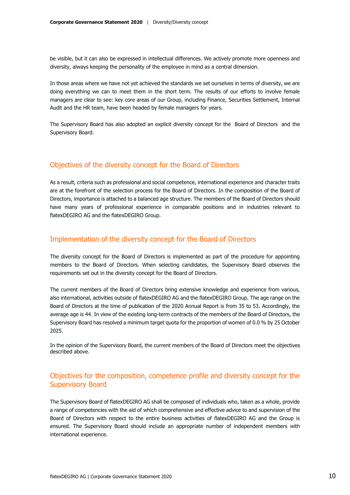be visible, but it can also be expressed in intellectual differences. We actively promote more openness and diversity, always keeping the personality of the employee in mind as a central dimension.

In those areas where we have not yet achieved the standards we set ourselves in terms of diversity, we are doing everything we can to meet them in the short term. The results of our efforts to involve female managers are clear to see: key core areas of our Group, including Finance, Securities Settlement, Internal Audit and the HR team, have been headed by female managers for years.

The Supervisory Board has also adopted an explicit diversity concept for the Board of Directors and the Supervisory Board.

### Objectives of the diversity concept for the Board of Directors

As a result, criteria such as professional and social competence, international experience and character traits are at the forefront of the selection process for the Board of Directors. In the composition of the Board of Directors, importance is attached to a balanced age structure. The members of the Board of Directors should have many years of professional experience in comparable positions and in industries relevant to flatexDEGIRO AG and the flatexDEGIRO Group.

### Implementation of the diversity concept for the Board of Directors

The diversity concept for the Board of Directors is implemented as part of the procedure for appointing members to the Board of Directors. When selecting candidates, the Supervisory Board observes the requirements set out in the diversity concept for the Board of Directors.

The current members of the Board of Directors bring extensive knowledge and experience from various, also international, activities outside of flatexDEGIRO AG and the flatexDEGIRO Group. The age range on the Board of Directors at the time of publication of the 2020 Annual Report is from 35 to 53. Accordingly, the average age is 44. In view of the existing long-term contracts of the members of the Board of Directors, the Supervisory Board has resolved a minimum target quota for the proportion of women of 0.0 % by 25 October 2025.

In the opinion of the Supervisory Board, the current members of the Board of Directors meet the objectives described above.

### Objectives for the composition, competence profile and diversity concept for the Supervisory Board

The Supervisory Board of flatexDEGIRO AG shall be composed of individuals who, taken as a whole, provide a range of competencies with the aid of which comprehensive and effective advice to and supervision of the Board of Directors with respect to the entire business activities of flatexDEGIRO AG and the Group is ensured. The Supervisory Board should include an appropriate number of independent members with international experience.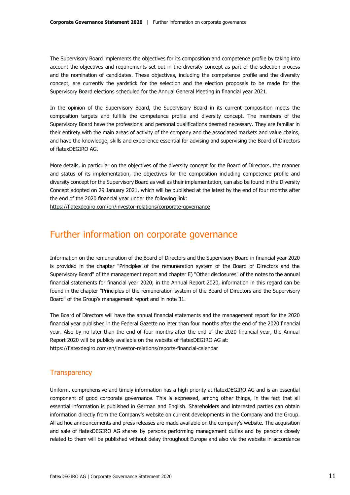The Supervisory Board implements the objectives for its composition and competence profile by taking into account the objectives and requirements set out in the diversity concept as part of the selection process and the nomination of candidates. These objectives, including the competence profile and the diversity concept, are currently the yardstick for the selection and the election proposals to be made for the Supervisory Board elections scheduled for the Annual General Meeting in financial year 2021.

In the opinion of the Supervisory Board, the Supervisory Board in its current composition meets the composition targets and fulfills the competence profile and diversity concept. The members of the Supervisory Board have the professional and personal qualifications deemed necessary. They are familiar in their entirety with the main areas of activity of the company and the associated markets and value chains, and have the knowledge, skills and experience essential for advising and supervising the Board of Directors of flatexDEGIRO AG.

More details, in particular on the objectives of the diversity concept for the Board of Directors, the manner and status of its implementation, the objectives for the composition including competence profile and diversity concept for the Supervisory Board as well as their implementation, can also be found in the Diversity Concept adopted on 29 January 2021, which will be published at the latest by the end of four months after the end of the 2020 financial year under the following link:

<https://flatexdegiro.com/en/investor-relations/corporate-governance>

## <span id="page-10-0"></span>Further information on corporate governance

Information on the remuneration of the Board of Directors and the Supervisory Board in financial year 2020 is provided in the chapter "Principles of the remuneration system of the Board of Directors and the Supervisory Board" of the management report and chapter E) "Other disclosures" of the notes to the annual financial statements for financial year 2020; in the Annual Report 2020, information in this regard can be found in the chapter "Principles of the remuneration system of the Board of Directors and the Supervisory Board" of the Group's management report and in note 31.

The Board of Directors will have the annual financial statements and the management report for the 2020 financial year published in the Federal Gazette no later than four months after the end of the 2020 financial year. Also by no later than the end of four months after the end of the 2020 financial year, the Annual Report 2020 will be publicly available on the website of flatexDEGIRO AG at: <https://flatexdegiro.com/en/investor-relations/reports-financial-calendar>

### **Transparency**

Uniform, comprehensive and timely information has a high priority at flatexDEGIRO AG and is an essential component of good corporate governance. This is expressed, among other things, in the fact that all essential information is published in German and English. Shareholders and interested parties can obtain information directly from the Company's website on current developments in the Company and the Group. All ad hoc announcements and press releases are made available on the company's website. The acquisition and sale of flatexDEGIRO AG shares by persons performing management duties and by persons closely related to them will be published without delay throughout Europe and also via the website in accordance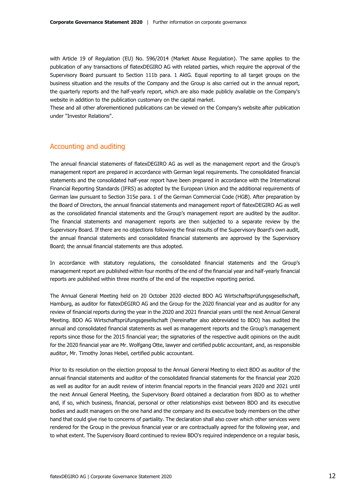with Article 19 of Regulation (EU) No. 596/2014 (Market Abuse Regulation). The same applies to the publication of any transactions of flatexDEGIRO AG with related parties, which require the approval of the Supervisory Board pursuant to Section 111b para. 1 AktG. Equal reporting to all target groups on the business situation and the results of the Company and the Group is also carried out in the annual report, the quarterly reports and the half-yearly report, which are also made publicly available on the Company's website in addition to the publication customary on the capital market.

These and all other aforementioned publications can be viewed on the Company's website after publication under "Investor Relations".

### Accounting and auditing

The annual financial statements of flatexDEGIRO AG as well as the management report and the Group's management report are prepared in accordance with German legal requirements. The consolidated financial statements and the consolidated half-year report have been prepared in accordance with the International Financial Reporting Standards (IFRS) as adopted by the European Union and the additional requirements of German law pursuant to Section 315e para. 1 of the German Commercial Code (HGB). After preparation by the Board of Directors, the annual financial statements and management report of flatexDEGIRO AG as well as the consolidated financial statements and the Group's management report are audited by the auditor. The financial statements and management reports are then subjected to a separate review by the Supervisory Board. If there are no objections following the final results of the Supervisory Board's own audit, the annual financial statements and consolidated financial statements are approved by the Supervisory Board; the annual financial statements are thus adopted.

In accordance with statutory regulations, the consolidated financial statements and the Group's management report are published within four months of the end of the financial year and half-yearly financial reports are published within three months of the end of the respective reporting period.

The Annual General Meeting held on 20 October 2020 elected BDO AG Wirtschaftsprüfungsgesellschaft, Hamburg, as auditor for flatexDEGIRO AG and the Group for the 2020 financial year and as auditor for any review of financial reports during the year in the 2020 and 2021 financial years until the next Annual General Meeting. BDO AG Wirtschaftsprüfungsgesellschaft (hereinafter also abbreviated to BDO) has audited the annual and consolidated financial statements as well as management reports and the Group's management reports since those for the 2015 financial year; the signatories of the respective audit opinions on the audit for the 2020 financial year are Mr. Wolfgang Otte, lawyer and certified public accountant, and, as responsible auditor, Mr. Timothy Jonas Hebel, certified public accountant.

Prior to its resolution on the election proposal to the Annual General Meeting to elect BDO as auditor of the annual financial statements and auditor of the consolidated financial statements for the financial year 2020 as well as auditor for an audit review of interim financial reports in the financial years 2020 and 2021 until the next Annual General Meeting, the Supervisory Board obtained a declaration from BDO as to whether and, if so, which business, financial, personal or other relationships exist between BDO and its executive bodies and audit managers on the one hand and the company and its executive body members on the other hand that could give rise to concerns of partiality. The declaration shall also cover which other services were rendered for the Group in the previous financial year or are contractually agreed for the following year, and to what extent. The Supervisory Board continued to review BDO's required independence on a regular basis,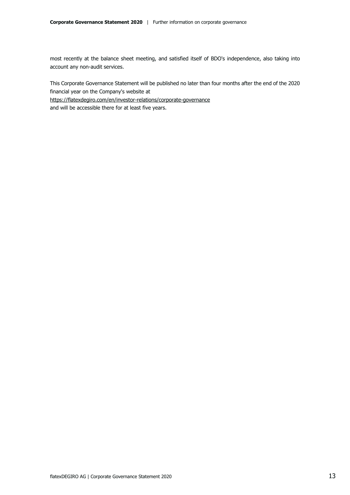most recently at the balance sheet meeting, and satisfied itself of BDO's independence, also taking into account any non-audit services.

This Corporate Governance Statement will be published no later than four months after the end of the 2020 financial year on the Company's website at

<https://flatexdegiro.com/en/investor-relations/corporate-governance>

and will be accessible there for at least five years.